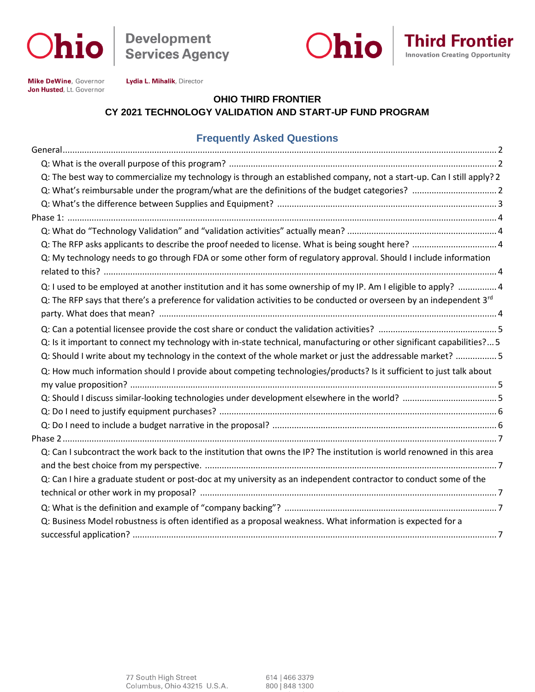

**Development<br>Services Agency** 





**Mike DeWine, Governor** Jon Husted, Lt. Governor Lydia L. Mihalik, Director

#### **OHIO THIRD FRONTIER CY 2021 TECHNOLOGY VALIDATION AND START-UP FUND PROGRAM**

#### **Frequently Asked Questions**

| Q: The best way to commercialize my technology is through an established company, not a start-up. Can I still apply? 2  |  |
|-------------------------------------------------------------------------------------------------------------------------|--|
|                                                                                                                         |  |
|                                                                                                                         |  |
|                                                                                                                         |  |
|                                                                                                                         |  |
|                                                                                                                         |  |
| Q: My technology needs to go through FDA or some other form of regulatory approval. Should I include information        |  |
|                                                                                                                         |  |
| Q: I used to be employed at another institution and it has some ownership of my IP. Am I eligible to apply?  4          |  |
| Q: The RFP says that there's a preference for validation activities to be conducted or overseen by an independent 3rd   |  |
|                                                                                                                         |  |
|                                                                                                                         |  |
| Q: Is it important to connect my technology with in-state technical, manufacturing or other significant capabilities? 5 |  |
| Q: Should I write about my technology in the context of the whole market or just the addressable market?  5             |  |
| Q: How much information should I provide about competing technologies/products? Is it sufficient to just talk about     |  |
|                                                                                                                         |  |
|                                                                                                                         |  |
|                                                                                                                         |  |
|                                                                                                                         |  |
|                                                                                                                         |  |
| Q: Can I subcontract the work back to the institution that owns the IP? The institution is world renowned in this area  |  |
|                                                                                                                         |  |
| Q: Can I hire a graduate student or post-doc at my university as an independent contractor to conduct some of the       |  |
|                                                                                                                         |  |
|                                                                                                                         |  |
| Q: Business Model robustness is often identified as a proposal weakness. What information is expected for a             |  |
|                                                                                                                         |  |

614 | 466 3379 800 848 1300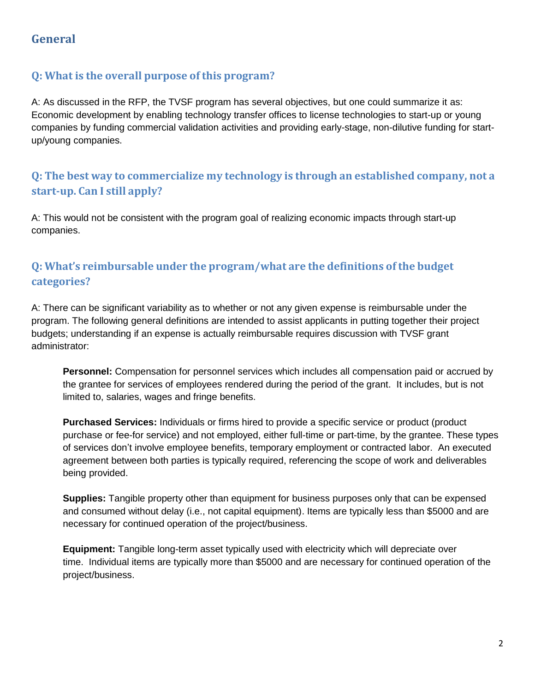# **General**

### <span id="page-1-0"></span>**Q: What is the overall purpose of this program?**

A: As discussed in the RFP, the TVSF program has several objectives, but one could summarize it as: Economic development by enabling technology transfer offices to license technologies to start-up or young companies by funding commercial validation activities and providing early-stage, non-dilutive funding for startup/young companies.

# <span id="page-1-1"></span>**Q: The best way to commercialize my technology is through an established company, not a start-up. Can I still apply?**

A: This would not be consistent with the program goal of realizing economic impacts through start-up companies.

## <span id="page-1-2"></span>**Q: What's reimbursable under the program/what are the definitions of the budget categories?**

A: There can be significant variability as to whether or not any given expense is reimbursable under the program. The following general definitions are intended to assist applicants in putting together their project budgets; understanding if an expense is actually reimbursable requires discussion with TVSF grant administrator:

**Personnel:** Compensation for personnel services which includes all compensation paid or accrued by the grantee for services of employees rendered during the period of the grant. It includes, but is not limited to, salaries, wages and fringe benefits.

**Purchased Services:** Individuals or firms hired to provide a specific service or product (product purchase or fee-for service) and not employed, either full-time or part-time, by the grantee. These types of services don't involve employee benefits, temporary employment or contracted labor. An executed agreement between both parties is typically required, referencing the scope of work and deliverables being provided.

**Supplies:** Tangible property other than equipment for business purposes only that can be expensed and consumed without delay (i.e., not capital equipment). Items are typically less than \$5000 and are necessary for continued operation of the project/business.

**Equipment:** Tangible long-term asset typically used with electricity which will depreciate over time. Individual items are typically more than \$5000 and are necessary for continued operation of the project/business.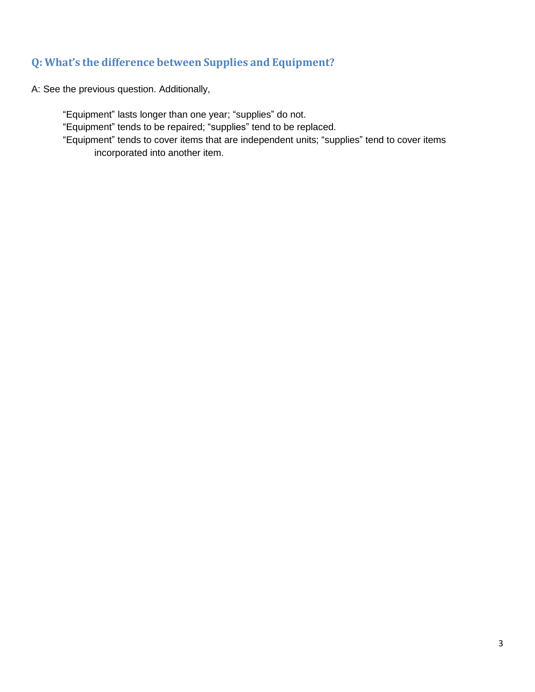#### <span id="page-2-0"></span>**Q: What's the difference between Supplies and Equipment?**

A: See the previous question. Additionally,

"Equipment" lasts longer than one year; "supplies" do not.

"Equipment" tends to be repaired; "supplies" tend to be replaced.

"Equipment" tends to cover items that are independent units; "supplies" tend to cover items incorporated into another item.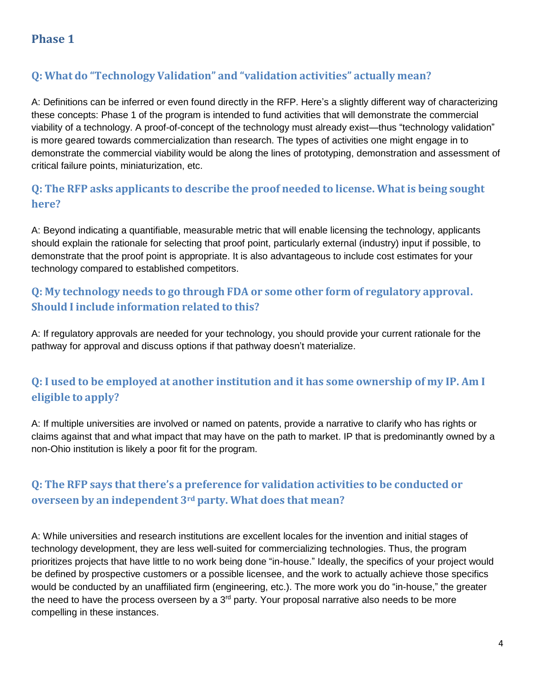# <span id="page-3-0"></span>**Q: What do "Technology Validation" and "validation activities" actually mean?**

A: Definitions can be inferred or even found directly in the RFP. Here's a slightly different way of characterizing these concepts: Phase 1 of the program is intended to fund activities that will demonstrate the commercial viability of a technology. A proof-of-concept of the technology must already exist—thus "technology validation" is more geared towards commercialization than research. The types of activities one might engage in to demonstrate the commercial viability would be along the lines of prototyping, demonstration and assessment of critical failure points, miniaturization, etc.

# <span id="page-3-1"></span>**Q: The RFP asks applicants to describe the proof needed to license. What is being sought here?**

A: Beyond indicating a quantifiable, measurable metric that will enable licensing the technology, applicants should explain the rationale for selecting that proof point, particularly external (industry) input if possible, to demonstrate that the proof point is appropriate. It is also advantageous to include cost estimates for your technology compared to established competitors.

# <span id="page-3-2"></span>**Q: My technology needs to go through FDA or some other form of regulatory approval. Should I include information related to this?**

A: If regulatory approvals are needed for your technology, you should provide your current rationale for the pathway for approval and discuss options if that pathway doesn't materialize.

# <span id="page-3-3"></span>**Q: I used to be employed at another institution and it has some ownership of my IP. Am I eligible to apply?**

A: If multiple universities are involved or named on patents, provide a narrative to clarify who has rights or claims against that and what impact that may have on the path to market. IP that is predominantly owned by a non-Ohio institution is likely a poor fit for the program.

# <span id="page-3-4"></span>**Q: The RFP says that there's a preference for validation activities to be conducted or overseen by an independent 3rd party. What does that mean?**

A: While universities and research institutions are excellent locales for the invention and initial stages of technology development, they are less well-suited for commercializing technologies. Thus, the program prioritizes projects that have little to no work being done "in-house." Ideally, the specifics of your project would be defined by prospective customers or a possible licensee, and the work to actually achieve those specifics would be conducted by an unaffiliated firm (engineering, etc.). The more work you do "in-house," the greater the need to have the process overseen by a  $3<sup>rd</sup>$  party. Your proposal narrative also needs to be more compelling in these instances.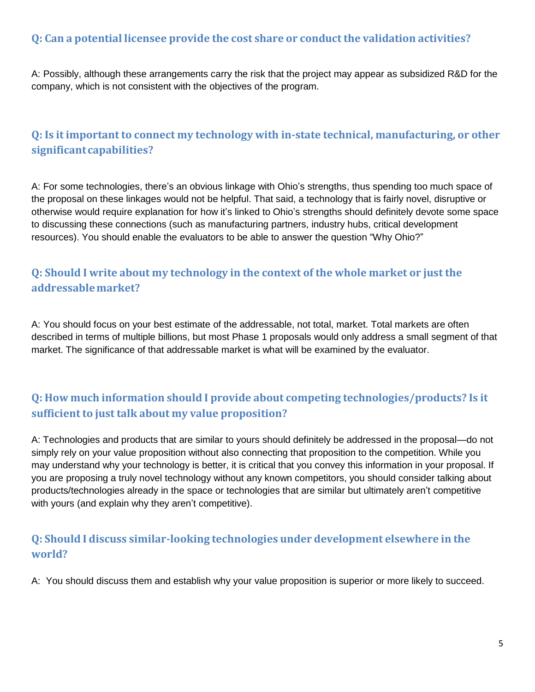#### **Q: Can a potential licensee provide the cost share or conduct the validation activities?**

<span id="page-4-0"></span>A: Possibly, although these arrangements carry the risk that the project may appear as subsidized R&D for the company, which is not consistent with the objectives of the program.

### <span id="page-4-1"></span>**Q: Is it importantto connect my technology with in-state technical, manufacturing, or other significantcapabilities?**

A: For some technologies, there's an obvious linkage with Ohio's strengths, thus spending too much space of the proposal on these linkages would not be helpful. That said, a technology that is fairly novel, disruptive or otherwise would require explanation for how it's linked to Ohio's strengths should definitely devote some space to discussing these connections (such as manufacturing partners, industry hubs, critical development resources). You should enable the evaluators to be able to answer the question "Why Ohio?"

# <span id="page-4-2"></span>**Q: Should I write about my technology in the context of the whole market or just the addressablemarket?**

A: You should focus on your best estimate of the addressable, not total, market. Total markets are often described in terms of multiple billions, but most Phase 1 proposals would only address a small segment of that market. The significance of that addressable market is what will be examined by the evaluator.

## <span id="page-4-3"></span>**Q: How much information should I provide about competing technologies/products? Is it sufficient to just talk about my value proposition?**

A: Technologies and products that are similar to yours should definitely be addressed in the proposal—do not simply rely on your value proposition without also connecting that proposition to the competition. While you may understand why your technology is better, it is critical that you convey this information in your proposal. If you are proposing a truly novel technology without any known competitors, you should consider talking about products/technologies already in the space or technologies that are similar but ultimately aren't competitive with yours (and explain why they aren't competitive).

## <span id="page-4-4"></span>**Q: Should I discuss similar-looking technologies under development elsewhere in the world?**

A: You should discuss them and establish why your value proposition is superior or more likely to succeed.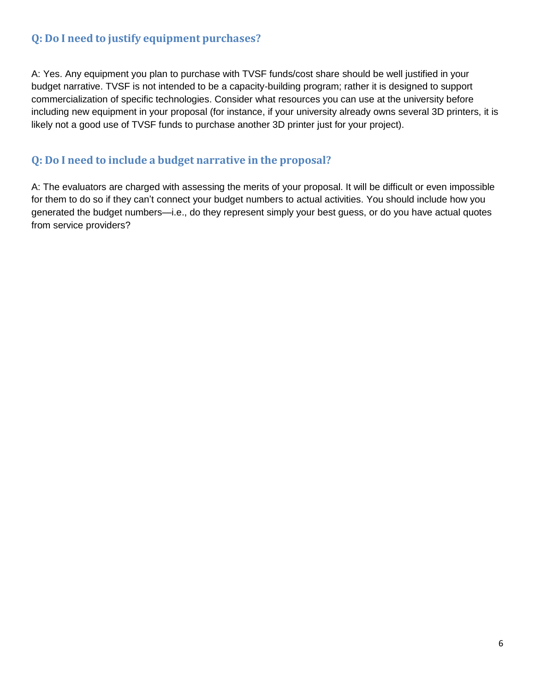### **Q: Do I need to justify equipment purchases?**

<span id="page-5-0"></span>A: Yes. Any equipment you plan to purchase with TVSF funds/cost share should be well justified in your budget narrative. TVSF is not intended to be a capacity-building program; rather it is designed to support commercialization of specific technologies. Consider what resources you can use at the university before including new equipment in your proposal (for instance, if your university already owns several 3D printers, it is likely not a good use of TVSF funds to purchase another 3D printer just for your project).

### <span id="page-5-1"></span>**Q: Do I need to include a budget narrative in the proposal?**

A: The evaluators are charged with assessing the merits of your proposal. It will be difficult or even impossible for them to do so if they can't connect your budget numbers to actual activities. You should include how you generated the budget numbers—i.e., do they represent simply your best guess, or do you have actual quotes from service providers?